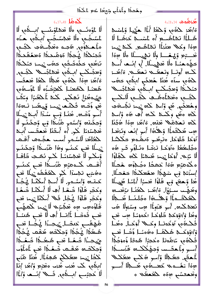وهَّحدًا وأَوْلَى وَرُوهُا هُو الْحُدًا

## $6.37.49$   $20$

لًا لمؤَونَـــمِ ولًا مْحَطَوَّـنَبِ /بِــَدُّورٍ لَٰا منْصبُ الْمُسْتَبِينَ أَمَّا مُجْمَعًا مَنَّاهَ مِنَّوَى مَنَّاهَا مِنَّاهَا مِنْ هلُمَحْذُوب. 5جـه هڤكُمـڎڢ لأَجُــه خَجِئْكُمْا ۖ يُجِدُّا هُوَهَّىحِـٰدًا هُمحَّفَحِـٰدَا الْمَكْنَة مَسْرَبَّ سَاهَةَ مِصْفَضَةَ مِصْلَانًا وَمِحَمْكُم ابْلُهُمْ مْمَالِمُكُلّ لَحْمَمٍ. وْاهُدْ وَوْا لْحَدُّوبِ هُدَالًا لَحْفًا هُمَّفَّت هُعنا لِمُعنا لَحْجَدُو لَا اوَّــوُهِ فَهُجِعُوْلِ نُهِكُمٍ. كَمَنْ لَمَكْشَبُرا وَتَثَلُمْ أَهُم أَنْصُمْ بَسْرٌ مَنْكُمْ مَاءٌ فَيَ أُمبو وَّتْــ9. هُنُـا فِي مُــْأَا أَبْـٰهَـنَّىـلَا وِّحِكْىْلَاه وِّامْنُدمِ هُنُنكَا وِّع وِّحِكْىنُـبِ لَٰا هُجْسَدَا لَكِن أَه أَحدَٰنَا هُعفَــب أَب لْحَمَّاهُ: لَامْنُوبِ اُمِي هَجُوها أَفْتَقَ تَحِىلًا هَي كَمِنْبِر وِهَا هُنَّىـٰذًا وَجِكَمْبُـر وَّمِحْبِرِ ٱلْاِهْجَمَعَائِلُمْ حُجِرٍ نُعْسَبُ خَاصَلُهُ أَفْــما كُـــمبِّع هُنْـــٰدًا هَـــع كَـسُــبر لَّكُمْ اللَّهِ مَقْفُعُكُمْ بِكُمْ الْمُمْكَنِّ مِنْهُ مِنْ مَثْلُ كَعْنَــهِ وَٱمثَـــمبر. لَا أَسْـــمْ أَسْكُنُــل هُـجُــل وِكْثَرِ قُاوْٓا خُتْمَا أَبَّ لَٰا أَيكْتُا خُتْمَا وِكْثَہِ قُاوۡۤا ہُٰجۡاً. ثَلا ٱُكْتُا ٓ ُ مِن شَع بَمْهُمُ نَمِنٌ لَا مُجَدِّمَةٌ مِهِ مَهْمَهُمْ هَــمِ ثَـُدْــا أَانْــا أَبِ لَا شَــمٍ هَٰنـُــا صُهْفَبٍ تَعْتَصِلَ الْمَجِينَ الْمُحْمَدُ مِنْفَهُمْ هُـعُدًا ۖ هُـجُدًا وِّجِـكَـدُه هُـقَّعَـ هُـجُدًّا ىۡ جَـٰٓۥٗا ۚ ثَـٰمُـا ۚ ثَبِي هَـٰهُـٰہُا خَـٰمُـہُا<br>وَجِـۡـُدۡتَـٰ مَّـفَـٰ خَـٰمُـہُۢاۭ ثَبِي ـَٰٓاٰهَٰ أَوۡـٰلَ كَلِّكًا يَهِمْ مَتَعَلِّكُمْ هُجَمَاًا. مَنْ مَّتَهَا إِبِكُمْ لَمَكَ هُذِبٍ هُذِبٍ مَثْقِرَمٍ وُاهَدٍ إِلَّا لًا حُجَّئِے ابْتُدُور. شَبْلاً إِنْسَمَا وُالْمِلَا

 $4.21.34$   $2.2.34$ ةَاهَٰ: لِمَثْمَى وَلِمَعْدَا أَبَالَ هَنُيْهَا وَٰلِمَسْمَدِ طَّالُمْ لَـٰهَاهُــــمِ أَه عَلَــْـــهِ كَـٰهَــا لَٰهَ هِهُمْ وَكُلًّا هُدَٰنُمْ لَـٰهَاهُمِعْ لَّكُنَا يَجْمَعُ هُـــــْبَعِ وَّلِيَــْمَــــا وِلَا تَـمِيْـــا الْمَالِ هِمَا بَصِنَّ وَالْمَسْتَرَبُّ مِنْ الْمَرْضِكَةِ اللَّهِ مَنْ اللَّهِ مَنْ أَسْتَمْ كمده أوتسا وتعكيلا تعكيلا فائحة لِحَقَّى مِمَّة هُنَّا هُعْدَّبِ أَبَدُّى حَقَّ تَنْكَلُأُ وَمَجَيِّكُم ابَنَّهُمِ مَمْلَكُمْكَ لمثُمه مقدام فقد المسلم وِهُعِنَيْمٍ. هُمْ وَإِسْلِمْ كَلِمَ يَهْمَ لَكُمْ هُدَةٌ بِ لكته هكُع وكَمْلِكُمْ لَكْتُهُ أَبْ تَهُهُ وَٱسْكِرْ لَاه تعلاهَلا مَنْتَه. ةَاهُدْ هِهَا هُكِنُا ۞ٮ هَٰٓۮۡتُمَاۢٳۢ وۭٞۿۮؗ۠۞۠ٳ۩ٞٞڛ؇ؠؙڞ؋ٮۢٚڗ۫ۿٵ أَوْكُلُ خَاوْكُلُ وَبْبِغَبِرٍ وَيَعْبُدِهِ حَكْمَـٰلِ ەجَاھكە ) مَوْكُما نْزْشَا مِنَاؤُبِر كُبِر ۞ه لَّا يُبْحِر أَوْحُل يَهِمْ هَٰذَا لَمْنَ حَكَّاؤُا مَكْمِعِبُم هُمْ تَعْمَدُ مِجْمَوْهِ هَمَلًا |إسْتَكِمْ وْمِ سْهَجًا هِمُعَكّْنَدًا حَمْحَـلًا. هَٰا وَحِيْمٍ وَبِ قَاوُا شَيْبِا ٱلْمَالَ هَٰيَى اللَّهَ وِهُنَّهُـــا مَـــرُوُّا. ةَاهُـــز لِكَفُــٰا بَرْهَـــده لمَعْلَاثُــوباًا وَلِلْــرْهَا وَجَامِنُــا هَــــــالًا |تَعْتَدَ كَتْبَ أَمِيرٍ حَنْوَيْاً! ۞بِ وَسَنْرَوْلًا ۞بِ وَهُدَا وْ/اوّْوْكُمْ خَاوْكُمْ الْكُووْسُا بِهِبْ هُبِ ثُكِنُّوهِ ٱوۡكُونَـٰا وِكَـٰلا ٱُوۡكَـا ٖ وَهُـا وْالرّْفِكُ\$ هُكْصًا هِ هُوسًا وَّخُـا هُبَ ثُلاةُوم مُرْهُونَا ومُدَيُّ هُودًا وُووَجُلًّا أَٱسِبِ وِلْمَصَّىبِ وِّجِهْكُكُ ۞ قُنُسِــدًا أَحَقٍّ. حَقَّكُمْ أَوَّاسِهِ هُكُمْ مَتَقَلَّلُكُمْ |وە ئېسىم ئىھىۋە ئېلگا أىس أوتحمصتُم وة للقمعُلا \*